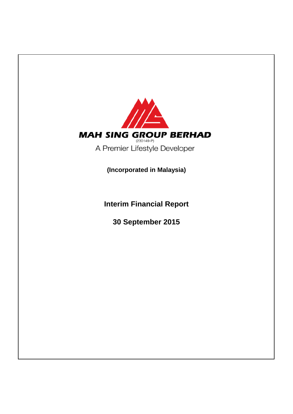

**Interim Financial Report**

**30 September 2015**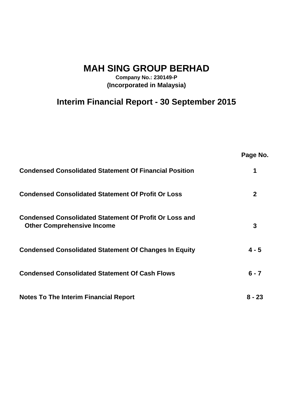**MAH SING GROUP BERHAD**

**Company No.: 230149-P (Incorporated in Malaysia)**

# **Interim Financial Report - 30 September 2015**

|                                                                                                    | Page No.     |
|----------------------------------------------------------------------------------------------------|--------------|
| <b>Condensed Consolidated Statement Of Financial Position</b>                                      |              |
| <b>Condensed Consolidated Statement Of Profit Or Loss</b>                                          | $\mathbf{2}$ |
| <b>Condensed Consolidated Statement Of Profit Or Loss and</b><br><b>Other Comprehensive Income</b> | 3            |
| <b>Condensed Consolidated Statement Of Changes In Equity</b>                                       | $4 - 5$      |
| <b>Condensed Consolidated Statement Of Cash Flows</b>                                              | $6 - 7$      |
| <b>Notes To The Interim Financial Report</b>                                                       | 8 - 23       |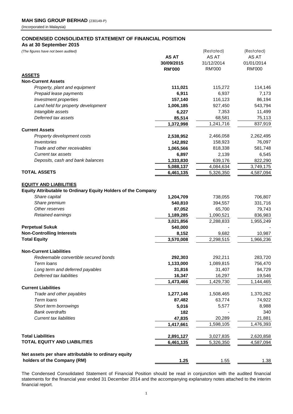## **CONDENSED CONSOLIDATED STATEMENT OF FINANCIAL POSITION**

**As at 30 September 2015**

| (The figures have not been audited)                                  |               | (Restated)    | (Restated)    |
|----------------------------------------------------------------------|---------------|---------------|---------------|
|                                                                      | <b>AS AT</b>  | AS AT         | AS AT         |
|                                                                      | 30/09/2015    | 31/12/2014    | 01/01/2014    |
|                                                                      | <b>RM'000</b> | <b>RM'000</b> | <b>RM'000</b> |
| <b>ASSETS</b>                                                        |               |               |               |
| <b>Non-Current Assets</b>                                            |               |               |               |
| Property, plant and equipment                                        | 111,021       | 115,272       | 114,146       |
| Prepaid lease payments                                               | 6,911         | 6,937         | 7,173         |
| Investment properties                                                | 157,140       | 116,123       | 86,194        |
| Land held for property development                                   | 1,006,185     | 927,450       | 543,794       |
| Intangible assets                                                    | 6,227         | 7,353         | 11,499        |
| Deferred tax assets                                                  | 85,514        | 68,581        | 75,113        |
|                                                                      | 1,372,998     | 1,241,716     | 837,919       |
| <b>Current Assets</b>                                                |               |               |               |
| Property development costs                                           | 2,538,952     | 2,466,058     | 2,262,495     |
| Inventories                                                          | 142,892       | 158,923       | 76,097        |
| Trade and other receivables                                          | 1,065,566     | 818,338       | 581,748       |
| <b>Current tax assets</b>                                            | 6,897         | 2,139         | 6,545         |
| Deposits, cash and bank balances                                     | 1,333,830     | 639,176       | 822,290       |
|                                                                      | 5,088,137     | 4,084,634     | 3,749,175     |
| <b>TOTAL ASSETS</b>                                                  | 6,461,135     | 5,326,350     | 4,587,094     |
|                                                                      |               |               |               |
| <b>EQUITY AND LIABILITIES</b>                                        |               |               |               |
| <b>Equity Attributable to Ordinary Equity Holders of the Company</b> |               |               |               |
| Share capital                                                        | 1,204,709     | 738,055       | 706,807       |
| Share premium                                                        | 540,810       | 394,557       | 331,716       |
| Other reserves                                                       | 87,052        | 65,700        | 79,743        |
| Retained earnings                                                    | 1,189,285     | 1,090,521     | 836,983       |
|                                                                      | 3,021,856     | 2,288,833     | 1,955,249     |
| <b>Perpetual Sukuk</b>                                               | 540,000       |               |               |
| <b>Non-Controlling Interests</b>                                     | 8,152         | 9,682         | 10,987        |
| <b>Total Equity</b>                                                  | 3,570,008     | 2,298,515     | 1,966,236     |
|                                                                      |               |               |               |
| <b>Non-Current Liabilities</b>                                       |               |               |               |
| Redeemable convertible secured bonds                                 | 292,303       | 292,211       | 283,720       |
| Term loans                                                           | 1,133,000     | 1,089,815     | 756,470       |
| Long term and deferred payables                                      | 31,816        | 31,407        | 84,729        |
| Deferred tax liabilities                                             | 16,347        | 16,297        | 19,546        |
|                                                                      | 1,473,466     | 1,429,730     | 1,144,465     |
| <b>Current Liabilities</b>                                           |               |               |               |
| Trade and other payables                                             | 1,277,146     | 1,508,465     | 1,370,262     |
| Term loans                                                           | 87,482        | 63,774        | 74,922        |
| Short term borrowings                                                | 5,016         | 5,577         | 8,988         |
| <b>Bank overdrafts</b>                                               | 182           |               | 340           |
| <b>Current tax liabilities</b>                                       | 47,835        | 20,289        | 21,881        |
|                                                                      | 1,417,661     | 1,598,105     | 1,476,393     |
|                                                                      |               |               |               |
| <b>Total Liabilities</b>                                             | 2,891,127     | 3,027,835     | 2,620,858     |
| <b>TOTAL EQUITY AND LIABILITIES</b>                                  | 6,461,135     | 5,326,350     | 4,587,094     |
|                                                                      |               |               |               |
| Net assets per share attributable to ordinary equity                 |               |               |               |
| holders of the Company (RM)                                          | 1.25          | 1.55          | 1.38          |

The Condensed Consolidated Statement of Financial Position should be read in conjunction with the audited financial statements for the financial year ended 31 December 2014 and the accompanying explanatory notes attached to the interim financial report.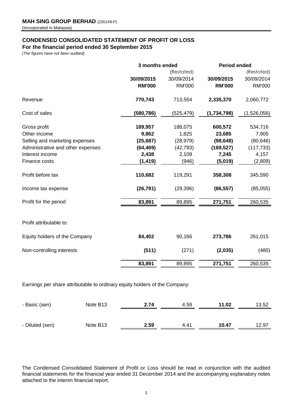## **CONDENSED CONSOLIDATED STATEMENT OF PROFIT OR LOSS**

**For the financial period ended 30 September 2015**

*(The figures have not been audited)*

|                                   | 3 months ended |               | <b>Period ended</b> |               |
|-----------------------------------|----------------|---------------|---------------------|---------------|
|                                   |                | (Restated)    |                     | (Restated)    |
|                                   | 30/09/2015     | 30/09/2014    | 30/09/2015          | 30/09/2014    |
|                                   | <b>RM'000</b>  | <b>RM'000</b> | <b>RM'000</b>       | <b>RM'000</b> |
| Revenue                           | 770,743        | 713,554       | 2,335,370           | 2,060,772     |
| Cost of sales                     | (580,786)      | (525,479)     | (1,734,798)         | (1,526,056)   |
| Gross profit                      | 189,957        | 188,075       | 600,572             | 534,716       |
| Other income                      | 9,862          | 1,825         | 23,685              | 7,905         |
| Selling and marketing expenses    | (25, 687)      | (28, 979)     | (98, 648)           | (80, 646)     |
| Administrative and other expenses | (64, 469)      | (42, 793)     | (169, 527)          | (117, 733)    |
| Interest income                   | 2,438          | 2,109         | 7,245               | 4,157         |
| Finance costs                     | (1, 419)       | (946)         | (5,019)             | (2,809)       |
| Profit before tax                 | 110,682        | 119,291       | 358,308             | 345,590       |
| Income tax expense                | (26, 791)      | (29, 396)     | (86, 557)           | (85,055)      |
| Profit for the period             | 83,891         | 89,895        | 271,751             | 260,535       |
| Profit attributable to:           |                |               |                     |               |
| Equity holders of the Company     | 84,402         | 90,166        | 273,786             | 261,015       |
| Non-controlling interests         | (511)          | (271)         | (2,035)             | (480)         |
|                                   | 83,891         | 89,895        | 271,751             | 260,535       |
|                                   |                |               |                     |               |

Earnings per share attributable to ordinary equity holders of the Company:

| - Basic (sen)   | Note B <sub>13</sub> | 2.74 | 4.59 | 11.02 | 13.52 |
|-----------------|----------------------|------|------|-------|-------|
|                 |                      |      |      |       |       |
| - Diluted (sen) | Note B <sub>13</sub> | 2.59 | 4.41 | 10.47 | 12.97 |

The Condensed Consolidated Statement of Profit or Loss should be read in conjunction with the audited financial statements for the financial year ended 31 December 2014 and the accompanying explanatory notes attached to the interim financial report.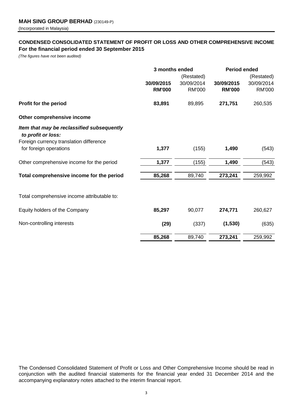## **CONDENSED CONSOLIDATED STATEMENT OF PROFIT OR LOSS AND OTHER COMPREHENSIVE INCOME For the financial period ended 30 September 2015**

*(The figures have not been audited)*

|                                                                  | 3 months ended |               | <b>Period ended</b> |               |  |
|------------------------------------------------------------------|----------------|---------------|---------------------|---------------|--|
|                                                                  |                | (Restated)    |                     | (Restated)    |  |
|                                                                  | 30/09/2015     | 30/09/2014    | 30/09/2015          | 30/09/2014    |  |
|                                                                  | <b>RM'000</b>  | <b>RM'000</b> | <b>RM'000</b>       | <b>RM'000</b> |  |
| Profit for the period                                            | 83,891         | 89,895        | 271,751             | 260,535       |  |
| Other comprehensive income                                       |                |               |                     |               |  |
| Item that may be reclassified subsequently<br>to profit or loss: |                |               |                     |               |  |
| Foreign currency translation difference                          |                |               |                     |               |  |
| for foreign operations                                           | 1,377          | (155)         | 1,490               | (543)         |  |
| Other comprehensive income for the period                        | 1,377          | (155)         | 1,490               | (543)         |  |
| Total comprehensive income for the period                        | 85,268         | 89,740        | 273,241             | 259,992       |  |
|                                                                  |                |               |                     |               |  |
| Total comprehensive income attributable to:                      |                |               |                     |               |  |
| Equity holders of the Company                                    | 85,297         | 90,077        | 274,771             | 260,627       |  |
| Non-controlling interests                                        | (29)           | (337)         | (1, 530)            | (635)         |  |
|                                                                  | 85,268         | 89,740        | 273,241             | 259,992       |  |

The Condensed Consolidated Statement of Profit or Loss and Other Comprehensive Income should be read in conjunction with the audited financial statements for the financial year ended 31 December 2014 and the accompanying explanatory notes attached to the interim financial report.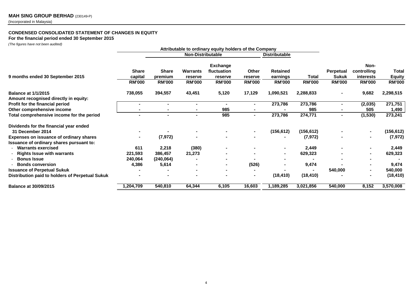## **CONDENSED CONSOLIDATED STATEMENT OF CHANGES IN EQUITY**

**For the financial period ended 30 September 2015**

*(The figures have not been audited)*

|                                                 | Attributable to ordinary equity holders of the Company |                          |                          |                                |                          |                           |                               |                                  |                                         |                                |
|-------------------------------------------------|--------------------------------------------------------|--------------------------|--------------------------|--------------------------------|--------------------------|---------------------------|-------------------------------|----------------------------------|-----------------------------------------|--------------------------------|
|                                                 |                                                        | <b>Non-Distributable</b> |                          |                                | <b>Distributable</b>     |                           |                               |                                  |                                         |                                |
|                                                 | <b>Share</b><br>capital                                | <b>Share</b><br>premium  | Warrants                 | <b>Exchange</b><br>fluctuation | Other                    | <b>Retained</b>           |                               | <b>Perpetual</b><br><b>Sukuk</b> | Non-<br>controlling<br><i>interests</i> | Total                          |
| 9 months ended 30 September 2015                | <b>RM'000</b>                                          | <b>RM'000</b>            | reserve<br><b>RM'000</b> | reserve<br><b>RM'000</b>       | reserve<br><b>RM'000</b> | earnings<br><b>RM'000</b> | <b>Total</b><br><b>RM'000</b> | <b>RM'000</b>                    | <b>RM'000</b>                           | <b>Equity</b><br><b>RM'000</b> |
| <b>Balance at 1/1/2015</b>                      | 738,055                                                | 394,557                  | 43,451                   | 5,120                          | 17,129                   | 1,090,521                 | 2,288,833                     |                                  | 9,682                                   | 2,298,515                      |
| Amount recognised directly in equity:           |                                                        |                          |                          |                                |                          |                           |                               |                                  |                                         |                                |
| Profit for the financial period                 |                                                        |                          | $\blacksquare$           |                                |                          | 273,786                   | 273,786                       |                                  | (2,035)                                 | 271,751                        |
| Other comprehensive income                      |                                                        |                          |                          | 985                            |                          |                           | 985                           |                                  | 505                                     | 1,490                          |
| Total comprehensive income for the period       |                                                        | $\sim$                   | ۰                        | 985                            | $\blacksquare$           | 273,786                   | 274,771                       |                                  | (1, 530)                                | 273,241                        |
| Dividends for the financial year ended          |                                                        |                          |                          |                                |                          |                           |                               |                                  |                                         |                                |
| 31 December 2014                                |                                                        |                          |                          |                                | $\blacksquare$           | (156, 612)                | (156, 612)                    |                                  | $\blacksquare$                          | (156, 612)                     |
| Expenses on issuance of ordinary shares         |                                                        | (7, 972)                 |                          |                                |                          |                           | (7, 972)                      |                                  |                                         | (7, 972)                       |
| Issuance of ordinary shares pursuant to:        |                                                        |                          |                          |                                |                          |                           |                               |                                  |                                         |                                |
| - Warrants exercised                            | 611                                                    | 2,218                    | (380)                    |                                |                          | $\sim$                    | 2,449                         |                                  |                                         | 2,449                          |
| <b>Rights Issue with warrants</b>               | 221,593                                                | 386,457                  | 21,273                   |                                |                          |                           | 629,323                       |                                  |                                         | 629,323                        |
| <b>Bonus Issue</b>                              | 240,064                                                | (240, 064)               |                          |                                |                          |                           |                               |                                  |                                         |                                |
| <b>Bonds conversion</b>                         | 4,386                                                  | 5,614                    |                          |                                | (526)                    |                           | 9,474                         |                                  |                                         | 9,474                          |
| <b>Issuance of Perpetual Sukuk</b>              |                                                        |                          |                          | $\blacksquare$                 |                          |                           |                               | 540,000                          |                                         | 540,000                        |
| Distribution paid to holders of Perpetual Sukuk |                                                        |                          |                          |                                | $\blacksquare$           | (18, 410)                 | (18, 410)                     |                                  |                                         | (18, 410)                      |
| <b>Balance at 30/09/2015</b>                    | 1,204,709                                              | 540,810                  | 64,344                   | 6,105                          | 16,603                   | 1,189,285                 | 3,021,856                     | 540,000                          | 8,152                                   | 3,570,008                      |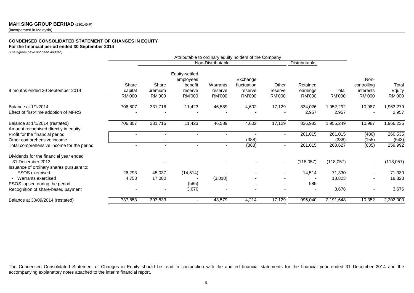## **MAH SING GROUP BERHAD** (230149-P)

(Incorporated in Malaysia)

## **CONDENSED CONSOLIDATED STATEMENT OF CHANGES IN EQUITY**

#### **For the financial period ended 30 September 2014**

*(The figures have not been audited)*

|                                                                         | Attributable to ordinary equity holders of the Company |               |                                        |                   |                         |                          |               |           |                          |               |
|-------------------------------------------------------------------------|--------------------------------------------------------|---------------|----------------------------------------|-------------------|-------------------------|--------------------------|---------------|-----------|--------------------------|---------------|
|                                                                         |                                                        |               |                                        | Non-Distributable |                         |                          | Distributable |           |                          |               |
|                                                                         | Share                                                  | Share         | Equity-settled<br>employees<br>benefit | Warrants          | Exchange<br>fluctuation | Other                    | Retained      |           | Non-                     | Total         |
| 9 months ended 30 September 2014                                        | capital                                                | premium       | reserve                                |                   | reserve                 |                          | earnings      | Total     | controlling<br>interests | Equity        |
|                                                                         | <b>RM'000</b>                                          | <b>RM'000</b> | <b>RM'000</b>                          | reserve<br>RM'000 | <b>RM'000</b>           | reserve<br><b>RM'000</b> | <b>RM'000</b> | RM'000    | RM'000                   | <b>RM'000</b> |
| Balance at 1/1/2014                                                     | 706,807                                                | 331,716       | 11,423                                 | 46,589            | 4,602                   | 17,129                   | 834,026       | 1,952,292 | 10,987                   | 1,963,279     |
| Effect of first-time adoption of MFRS                                   |                                                        |               |                                        |                   |                         |                          | 2,957         | 2,957     |                          | 2,957         |
| Balance at 1/1/2014 (restated)<br>Amount recognised directly in equity: | 706,807                                                | 331,716       | 11,423                                 | 46,589            | 4,602                   | 17,129                   | 836,983       | 1,955,249 | 10,987                   | 1,966,236     |
| Profit for the financial period                                         |                                                        |               |                                        | $\blacksquare$    |                         | ٠                        | 261,015       | 261,015   | (480)                    | 260,535       |
| Other comprehensive income                                              |                                                        |               |                                        | $\blacksquare$    | (388)                   | $\overline{\phantom{a}}$ |               | (388)     | (155)                    | (543)         |
| Total comprehensive income for the period                               |                                                        |               |                                        |                   | (388)                   | $\blacksquare$           | 261,015       | 260,627   | (635)                    | 259,992       |
| Dividends for the financial year ended                                  |                                                        |               |                                        |                   |                         |                          |               |           |                          |               |
| 31 December 2013                                                        |                                                        |               |                                        |                   |                         | $\overline{\phantom{a}}$ | (118, 057)    | (118,057) |                          | (118,057)     |
| Issuance of ordinary shares pursuant to:                                |                                                        |               |                                        |                   |                         |                          |               |           |                          |               |
| <b>ESOS</b> exercised                                                   | 26,293                                                 | 45,037        | (14, 514)                              |                   |                         | $\overline{\phantom{a}}$ | 14,514        | 71,330    |                          | 71,330        |
| - Warrants exercised                                                    | 4,753                                                  | 17,080        |                                        | (3,010)           |                         |                          |               | 18,823    |                          | 18,823        |
| ESOS lapsed during the period                                           |                                                        |               | (585)                                  |                   |                         | $\overline{\phantom{a}}$ | 585           |           |                          |               |
| Recognition of share-based payment                                      |                                                        |               | 3,676                                  |                   |                         |                          |               | 3,676     |                          | 3,676         |
| Balance at 30/09/2014 (restated)                                        | 737,853                                                | 393,833       |                                        | 43,579            | 4,214                   | 17,129                   | 995,040       | 2,191,648 | 10,352                   | 2,202,000     |

The Condensed Consolidated Statement of Changes in Equity should be read in conjunction with the audited financial statements for the financial year ended 31 December 2014 and the accompanying explanatory notes attached to the interim financial report.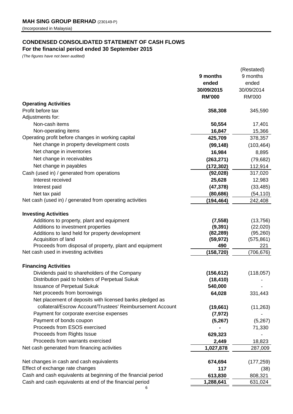## **CONDENSED CONSOLIDATED STATEMENT OF CASH FLOWS For the financial period ended 30 September 2015**

*(The figures have not been audited)*

|                                                                                                                       |                  | (Restated)        |
|-----------------------------------------------------------------------------------------------------------------------|------------------|-------------------|
|                                                                                                                       | 9 months         | 9 months          |
|                                                                                                                       | ended            | ended             |
|                                                                                                                       | 30/09/2015       | 30/09/2014        |
|                                                                                                                       | <b>RM'000</b>    | <b>RM'000</b>     |
| <b>Operating Activities</b>                                                                                           |                  |                   |
| Profit before tax                                                                                                     | 358,308          | 345,590           |
| Adjustments for:                                                                                                      |                  |                   |
| Non-cash items                                                                                                        | 50,554           | 17,401            |
| Non-operating items                                                                                                   | 16,847           | 15,366            |
| Operating profit before changes in working capital                                                                    | 425,709          | 378,357           |
| Net change in property development costs                                                                              | (99, 148)        | (103, 464)        |
| Net change in inventories                                                                                             | 16,984           |                   |
| Net change in receivables                                                                                             |                  | 8,895             |
|                                                                                                                       | (263, 271)       | (79, 682)         |
| Net change in payables                                                                                                | (172, 302)       | 112,914           |
| Cash (used in) / generated from operations                                                                            | (92, 028)        | 317,020           |
| Interest received                                                                                                     | 25,628           | 12,983            |
| Interest paid                                                                                                         | (47, 378)        | (33, 485)         |
| Net tax paid                                                                                                          | (80, 686)        | (54, 110)         |
| Net cash (used in) / generated from operating activities                                                              | (194, 464)       | 242,408           |
|                                                                                                                       |                  |                   |
| <b>Investing Activities</b>                                                                                           |                  |                   |
| Additions to property, plant and equipment                                                                            | (7, 558)         | (13, 756)         |
| Additions to investment properties                                                                                    | (9, 391)         | (22,020)          |
| Additions to land held for property development                                                                       | (82, 289)        | (95, 260)         |
| Acquisition of land<br>Proceeds from disposal of property, plant and equipment                                        | (59, 972)<br>490 | (575, 861)<br>221 |
| Net cash used in investing activities                                                                                 | (158, 720)       | (706, 676)        |
|                                                                                                                       |                  |                   |
| <b>Financing Activities</b>                                                                                           |                  |                   |
| Dividends paid to shareholders of the Company                                                                         | (156, 612)       | (118, 057)        |
| Distribution paid to holders of Perpetual Sukuk                                                                       | (18, 410)        |                   |
| <b>Issuance of Perpetual Sukuk</b>                                                                                    | 540,000          |                   |
| Net proceeds from borrowings                                                                                          |                  |                   |
|                                                                                                                       | 64,028           | 331,443           |
| Net placement of deposits with licensed banks pledged as<br>collateral/Escrow Account/Trustees' Reimbursement Account |                  |                   |
|                                                                                                                       | (19,661)         | (11, 263)         |
| Payment for corporate exercise expenses                                                                               | (7, 972)         |                   |
| Payment of bonds coupon                                                                                               | (5,267)          | (5,267)           |
| Proceeds from ESOS exercised                                                                                          |                  | 71,330            |
| Proceeds from Rights Issue                                                                                            | 629,323          |                   |
| Proceeds from warrants exercised                                                                                      | 2,449            | 18,823            |
| Net cash generated from financing activities                                                                          | 1,027,878        | 287,009           |
|                                                                                                                       |                  |                   |
| Net changes in cash and cash equivalents                                                                              | 674,694          | (177, 259)        |
| Effect of exchange rate changes                                                                                       | 117              | (38)              |
| Cash and cash equivalents at beginning of the financial period                                                        | 613,830          | 808,321           |
| Cash and cash equivalents at end of the financial period                                                              | 1,288,641        | 631,024           |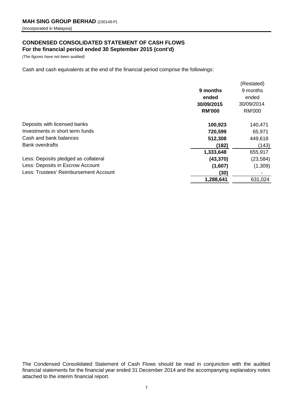## **CONDENSED CONSOLIDATED STATEMENT OF CASH FLOWS For the financial period ended 30 September 2015 (cont'd)**

*(The figures have not been audited)*

Cash and cash equivalents at the end of the financial period comprise the followings:

|                                       |               | (Restated)    |
|---------------------------------------|---------------|---------------|
|                                       | 9 months      | 9 months      |
|                                       | ended         | ended         |
|                                       | 30/09/2015    | 30/09/2014    |
|                                       | <b>RM'000</b> | <b>RM'000</b> |
| Deposits with licensed banks          | 100,923       | 140,471       |
| Investments in short term funds       | 720,599       | 65,971        |
| Cash and bank balances                | 512,308       | 449,618       |
| <b>Bank overdrafts</b>                | (182)         | (143)         |
|                                       | 1,333,648     | 655,917       |
| Less: Deposits pledged as collateral  | (43, 370)     | (23, 584)     |
| Less: Deposits in Escrow Account      | (1,607)       | (1,309)       |
| Less: Trustees' Reimbursement Account | (30)          |               |
|                                       | 1,288,641     | 631,024       |
|                                       |               |               |

The Condensed Consolidated Statement of Cash Flows should be read in conjunction with the audited financial statements for the financial year ended 31 December 2014 and the accompanying explanatory notes attached to the interim financial report.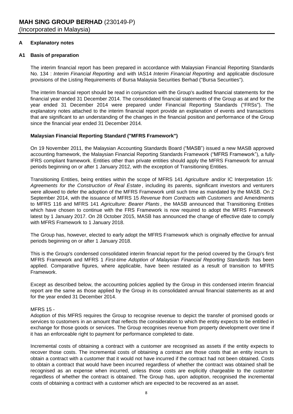## **A Explanatory notes**

## **A1 Basis of preparation**

The interim financial report has been prepared in accordance with Malaysian Financial Reporting Standards No. 134 : *Interim Financial Reporting* and with IAS14 *Interim Financial Reporting* and applicable disclosure provisions of the Listing Requirements of Bursa Malaysia Securities Berhad ("Bursa Securities").

The interim financial report should be read in conjunction with the Group's audited financial statements for the financial year ended 31 December 2014. The consolidated financial statements of the Group as at and for the year ended 31 December 2014 were prepared under Financial Reporting Standards ("FRSs"). The explanatory notes attached to the interim financial report provide an explanation of events and transactions that are significant to an understanding of the changes in the financial position and performance of the Group since the financial year ended 31 December 2014.

## **Malaysian Financial Reporting Standard ("MFRS Framework")**

On 19 November 2011, the Malaysian Accounting Standards Board ("MASB") issued a new MASB approved accounting framework, the Malaysian Financial Reporting Standards Framework ("MFRS Framework"), a fully-IFRS compliant framework. Entities other than private entities should apply the MFRS Framework for annual periods beginning on or after 1 January 2012, with the exception of Transitioning Entities.

Transitioning Entities, being entities within the scope of MFRS 141 *Agriculture* and/or IC Interpretation 15: *Agreements for the Construction of Real Estate* , including its parents, significant investors and venturers were allowed to defer the adoption of the MFRS Framework until such time as mandated by the MASB. On 2 September 2014, with the issuance of MFRS 15 *Revenue from Contracts with Customers* and Amendments to MFRS 116 and MFRS 141 *Agriculture: Bearer Plants* , the MASB announced that Transitioning Entities which have chosen to continue with the FRS Framework is now required to adopt the MFRS Framework latest by 1 January 2017. On 28 October 2015, MASB has announced the change of effective date to comply with MFRS Framework to 1 January 2018.

The Group has, however, elected to early adopt the MFRS Framework which is originally effective for annual periods beginning on or after 1 January 2018.

This is the Group's condensed consolidated interim financial report for the period covered by the Group's first MFRS Framework and MFRS 1 *First-time Adoption of Malaysian Financial Reporting Standards* has been applied. Comparative figures, where applicable, have been restated as a result of transition to MFRS Framework.

Except as described below, the accounting policies applied by the Group in this condensed interim financial report are the same as those applied by the Group in its consolidated annual financial statements as at and for the year ended 31 December 2014.

## MFRS 15 -

Adoption of this MFRS requires the Group to recognise revenue to depict the transfer of promised goods or services to customers in an amount that reflects the consideration to which the entity expects to be entitled in exchange for those goods or services. The Group recognises revenue from property development over time if it has an enforceable right to payment for performance completed to date.

Incremental costs of obtaining a contract with a customer are recognised as assets if the entity expects to recover those costs. The incremental costs of obtaining a contract are those costs that an entity incurs to obtain a contract with a customer that it would not have incurred if the contract had not been obtained. Costs to obtain a contract that would have been incurred regardless of whether the contract was obtained shall be recognised as an expense when incurred, unless those costs are explicitly chargeable to the customer regardless of whether the contract is obtained. The Group has, upon adoption, recognised the incremental costs of obtaining a contract with a customer which are expected to be recovered as an asset.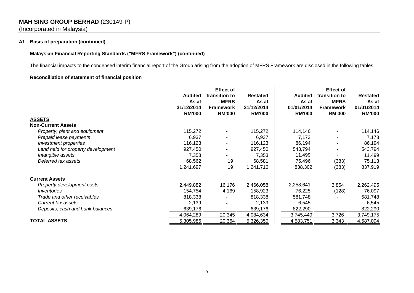## **MAH SING GROUP BERHAD** (230149-P) (Incorporated in Malaysia)

## **A1 Basis of preparation (continued)**

## **Malaysian Financial Reporting Standards ("MFRS Framework") (continued)**

The financial impacts to the condensed interim financial report of the Group arising from the adoption of MFRS Framework are disclosed in the following tables.

## **Reconciliation of statement of financial position**

|                                    |                         | <b>Effect of</b>             |                          |                         | <b>Effect of</b>             |                          |  |  |
|------------------------------------|-------------------------|------------------------------|--------------------------|-------------------------|------------------------------|--------------------------|--|--|
|                                    | <b>Audited</b><br>As at | transition to<br><b>MFRS</b> | <b>Restated</b><br>As at | <b>Audited</b><br>As at | transition to<br><b>MFRS</b> | <b>Restated</b><br>As at |  |  |
|                                    | 31/12/2014              | <b>Framework</b>             | 31/12/2014               | 01/01/2014              | <b>Framework</b>             | 01/01/2014               |  |  |
|                                    | <b>RM'000</b>           | <b>RM'000</b>                | <b>RM'000</b>            | <b>RM'000</b>           | <b>RM'000</b>                | <b>RM'000</b>            |  |  |
| <b>ASSETS</b>                      |                         |                              |                          |                         |                              |                          |  |  |
| <b>Non-Current Assets</b>          |                         |                              |                          |                         |                              |                          |  |  |
| Property, plant and equipment      | 115,272                 |                              | 115,272                  | 114,146                 |                              | 114,146                  |  |  |
| Prepaid lease payments             | 6,937                   |                              | 6,937                    | 7,173                   |                              | 7,173                    |  |  |
| Investment properties              | 116,123                 |                              | 116,123                  | 86,194                  |                              | 86,194                   |  |  |
| Land held for property development | 927,450                 |                              | 927,450                  | 543,794                 |                              | 543,794                  |  |  |
| Intangible assets                  | 7,353                   |                              | 7,353                    | 11,499                  |                              | 11,499                   |  |  |
| Deferred tax assets                | 68,562                  | 19                           | 68,581                   | 75,496                  | (383)                        | 75,113                   |  |  |
|                                    | 1,241,697               | 19                           | 1,241,716                | 838,302                 | (383)                        | 837,919                  |  |  |
| <b>Current Assets</b>              |                         |                              |                          |                         |                              |                          |  |  |
| Property development costs         | 2,449,882               | 16,176                       | 2,466,058                | 2,258,641               | 3,854                        | 2,262,495                |  |  |
| Inventories                        | 154,754                 | 4,169                        | 158,923                  | 76,225                  | (128)                        | 76,097                   |  |  |
| Trade and other receivables        | 818,338                 |                              | 818,338                  | 581,748                 |                              | 581,748                  |  |  |
| Current tax assets                 | 2,139                   |                              | 2,139                    | 6,545                   |                              | 6,545                    |  |  |
| Deposits, cash and bank balances   | 639,176                 |                              | 639,176                  | 822,290                 |                              | 822,290                  |  |  |
|                                    | 4,064,289               | 20,345                       | 4,084,634                | 3,745,449               | 3,726                        | 3,749,175                |  |  |
| <b>TOTAL ASSETS</b>                | 5,305,986               | 20,364                       | 5,326,350                | 4,583,751               | 3,343                        | 4,587,094                |  |  |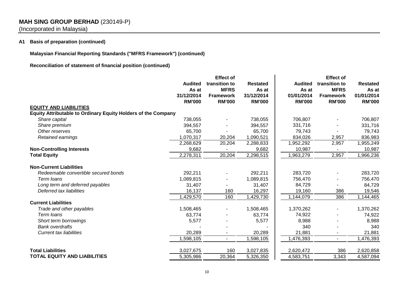## **MAH SING GROUP BERHAD** (230149-P)

(Incorporated in Malaysia)

## **A1 Basis of preparation (continued)**

**Malaysian Financial Reporting Standards ("MFRS Framework") (continued)**

**Reconciliation of statement of financial position (continued)**

|                                                                      | <b>Audited</b><br>As at<br>31/12/2014<br><b>RM'000</b> | <b>Effect of</b><br>transition to<br><b>MFRS</b><br><b>Framework</b><br><b>RM'000</b> | <b>Restated</b><br>As at<br>31/12/2014<br><b>RM'000</b> | <b>Audited</b><br>As at<br>01/01/2014<br><b>RM'000</b> | <b>Effect of</b><br>transition to<br><b>MFRS</b><br><b>Framework</b><br><b>RM'000</b> | <b>Restated</b><br>As at<br>01/01/2014<br><b>RM'000</b> |
|----------------------------------------------------------------------|--------------------------------------------------------|---------------------------------------------------------------------------------------|---------------------------------------------------------|--------------------------------------------------------|---------------------------------------------------------------------------------------|---------------------------------------------------------|
| <b>EQUITY AND LIABILITIES</b>                                        |                                                        |                                                                                       |                                                         |                                                        |                                                                                       |                                                         |
| <b>Equity Attributable to Ordinary Equity Holders of the Company</b> |                                                        |                                                                                       |                                                         |                                                        |                                                                                       |                                                         |
| Share capital                                                        | 738,055                                                |                                                                                       | 738,055                                                 | 706,807                                                |                                                                                       | 706,807                                                 |
| Share premium                                                        | 394,557                                                |                                                                                       | 394,557                                                 | 331,716                                                |                                                                                       | 331,716                                                 |
| Other reserves                                                       | 65,700                                                 |                                                                                       | 65,700                                                  | 79,743                                                 |                                                                                       | 79,743                                                  |
| Retained earnings                                                    | 1,070,317                                              | 20,204                                                                                | 1,090,521                                               | 834,026                                                | 2,957                                                                                 | 836,983                                                 |
|                                                                      | 2,268,629                                              | 20,204                                                                                | 2,288,833                                               | 1,952,292                                              | 2,957                                                                                 | 1,955,249                                               |
| <b>Non-Controlling Interests</b>                                     | 9,682                                                  |                                                                                       | 9,682                                                   | 10,987                                                 |                                                                                       | 10,987                                                  |
| <b>Total Equity</b>                                                  | 2,278,311                                              | 20,204                                                                                | 2,298,515                                               | 1,963,279                                              | 2,957                                                                                 | 1,966,236                                               |
| <b>Non-Current Liabilities</b>                                       |                                                        |                                                                                       |                                                         |                                                        |                                                                                       |                                                         |
| Redeemable convertible secured bonds                                 | 292,211                                                |                                                                                       | 292,211                                                 | 283,720                                                |                                                                                       | 283,720                                                 |
| Term loans                                                           | 1,089,815                                              |                                                                                       | 1,089,815                                               | 756,470                                                |                                                                                       | 756,470                                                 |
| Long term and deferred payables                                      | 31,407                                                 |                                                                                       | 31,407                                                  | 84,729                                                 |                                                                                       | 84,729                                                  |
| Deferred tax liabilities                                             | 16,137                                                 | 160                                                                                   | 16,297                                                  | 19,160                                                 | 386                                                                                   | 19,546                                                  |
|                                                                      | 1,429,570                                              | 160                                                                                   | 1,429,730                                               | 1,144,079                                              | 386                                                                                   | 1,144,465                                               |
| <b>Current Liabilities</b>                                           |                                                        |                                                                                       |                                                         |                                                        |                                                                                       |                                                         |
| Trade and other payables                                             | 1,508,465                                              |                                                                                       | 1,508,465                                               | 1,370,262                                              |                                                                                       | 1,370,262                                               |
| Term loans                                                           | 63,774                                                 |                                                                                       | 63,774                                                  | 74,922                                                 |                                                                                       | 74,922                                                  |
| Short term borrowings                                                | 5,577                                                  |                                                                                       | 5,577                                                   | 8,988                                                  |                                                                                       | 8,988                                                   |
| <b>Bank overdrafts</b>                                               |                                                        |                                                                                       |                                                         | 340                                                    |                                                                                       | 340                                                     |
| <b>Current tax liabilities</b>                                       | 20,289                                                 |                                                                                       | 20,289                                                  | 21,881                                                 |                                                                                       | 21,881                                                  |
|                                                                      | 1,598,105                                              | $\sim$                                                                                | 1,598,105                                               | 1,476,393                                              | $\overline{a}$                                                                        | 1,476,393                                               |
| <b>Total Liabilities</b>                                             | 3,027,675                                              | 160                                                                                   | 3,027,835                                               | 2,620,472                                              | 386                                                                                   | 2,620,858                                               |
| <b>TOTAL EQUITY AND LIABILITIES</b>                                  | 5,305,986                                              | 20,364                                                                                | 5,326,350                                               | 4,583,751                                              | 3,343                                                                                 | 4,587,094                                               |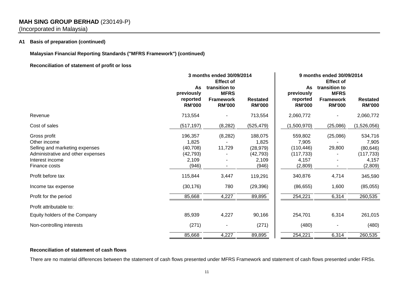## **MAH SING GROUP BERHAD** (230149-P)

(Incorporated in Malaysia)

## **A1 Basis of preparation (continued)**

**Malaysian Financial Reporting Standards ("MFRS Framework") (continued)**

## **Reconciliation of statement of profit or loss**

|                                                                                                                                         | 3 months ended 30/09/2014<br><b>Effect of</b>                |                                                                   |                                                              | 9 months ended 30/09/2014                                        |                                                                                       |                                                                 |
|-----------------------------------------------------------------------------------------------------------------------------------------|--------------------------------------------------------------|-------------------------------------------------------------------|--------------------------------------------------------------|------------------------------------------------------------------|---------------------------------------------------------------------------------------|-----------------------------------------------------------------|
|                                                                                                                                         | As<br>previously<br>reported<br><b>RM'000</b>                | transition to<br><b>MFRS</b><br><b>Framework</b><br><b>RM'000</b> | <b>Restated</b><br><b>RM'000</b>                             | As<br>previously<br>reported<br><b>RM'000</b>                    | <b>Effect of</b><br>transition to<br><b>MFRS</b><br><b>Framework</b><br><b>RM'000</b> | <b>Restated</b><br><b>RM'000</b>                                |
| Revenue                                                                                                                                 | 713,554                                                      |                                                                   | 713,554                                                      | 2,060,772                                                        |                                                                                       | 2,060,772                                                       |
| Cost of sales                                                                                                                           | (517, 197)                                                   | (8, 282)                                                          | (525, 479)                                                   | (1,500,970)                                                      | (25,086)                                                                              | (1,526,056)                                                     |
| Gross profit<br>Other income<br>Selling and marketing expenses<br>Administrative and other expenses<br>Interest income<br>Finance costs | 196,357<br>1,825<br>(40, 708)<br>(42, 793)<br>2,109<br>(946) | (8, 282)<br>11,729                                                | 188,075<br>1,825<br>(28, 979)<br>(42, 793)<br>2,109<br>(946) | 559,802<br>7,905<br>(110, 446)<br>(117, 733)<br>4,157<br>(2,809) | (25,086)<br>29,800                                                                    | 534,716<br>7,905<br>(80, 646)<br>(117, 733)<br>4,157<br>(2,809) |
| Profit before tax                                                                                                                       | 115,844                                                      | 3,447                                                             | 119,291                                                      | 340,876                                                          | 4,714                                                                                 | 345,590                                                         |
| Income tax expense                                                                                                                      | (30, 176)                                                    | 780                                                               | (29, 396)                                                    | (86, 655)                                                        | 1,600                                                                                 | (85,055)                                                        |
| Profit for the period                                                                                                                   | 85,668                                                       | 4,227                                                             | 89,895                                                       | 254,221                                                          | 6,314                                                                                 | 260,535                                                         |
| Profit attributable to:                                                                                                                 |                                                              |                                                                   |                                                              |                                                                  |                                                                                       |                                                                 |
| Equity holders of the Company                                                                                                           | 85,939                                                       | 4,227                                                             | 90,166                                                       | 254,701                                                          | 6,314                                                                                 | 261,015                                                         |
| Non-controlling interests                                                                                                               | (271)                                                        |                                                                   | (271)                                                        | (480)                                                            |                                                                                       | (480)                                                           |
|                                                                                                                                         | 85,668                                                       | 4,227                                                             | 89,895                                                       | 254,221                                                          | 6,314                                                                                 | 260,535                                                         |

## **Reconciliation of statement of cash flows**

There are no material differences between the statement of cash flows presented under MFRS Framework and statement of cash flows presented under FRSs.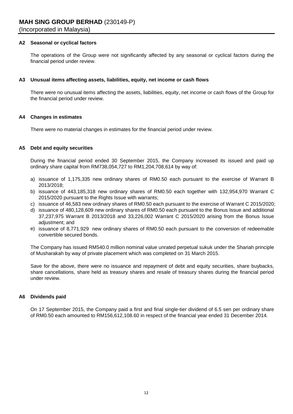## **A2 Seasonal or cyclical factors**

The operations of the Group were not significantly affected by any seasonal or cyclical factors during the financial period under review.

### **A3 Unusual items affecting assets, liabilities, equity, net income or cash flows**

There were no unusual items affecting the assets, liabilities, equity, net income or cash flows of the Group for the financial period under review.

### **A4 Changes in estimates**

There were no material changes in estimates for the financial period under review.

## **A5 Debt and equity securities**

During the financial period ended 30 September 2015, the Company increased its issued and paid up ordinary share capital from RM738,054,727 to RM1,204,708,614 by way of:

- a) issuance of 1,175,335 new ordinary shares of RM0.50 each pursuant to the exercise of Warrant B 2013/2018;
- b) issuance of 443,185,318 new ordinary shares of RM0.50 each together with 132,954,970 Warrant C 2015/2020 pursuant to the Rights Issue with warrants;
- c) issuance of 46,583 new ordinary shares of RM0.50 each pursuant to the exercise of Warrant C 2015/2020;
- d) issuance of 480,128,609 new ordinary shares of RM0.50 each pursuant to the Bonus Issue and additional 37,237,975 Warrant B 2013/2018 and 33,226,002 Warrant C 2015/2020 arising from the Bonus Issue adjustment; and
- e) issuance of 8,771,929 new ordinary shares of RM0.50 each pursuant to the conversion of redeemable convertible secured bonds.

The Company has issued RM540.0 million nominal value unrated perpetual sukuk under the Shariah principle of Musharakah by way of private placement which was completed on 31 March 2015.

Save for the above, there were no issuance and repayment of debt and equity securities, share buybacks, share cancellations, share held as treasury shares and resale of treasury shares during the financial period under review.

## **A6 Dividends paid**

On 17 September 2015, the Company paid a first and final single-tier dividend of 6.5 sen per ordinary share of RM0.50 each amounted to RM156,612,108.60 in respect of the financial year ended 31 December 2014.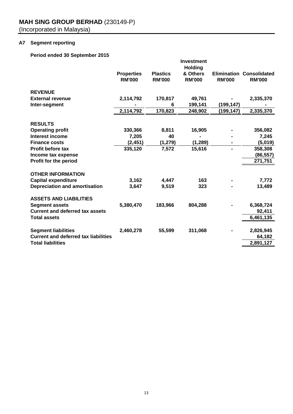## **A7 Segment reporting**

## **Period ended 30 September 2015**

|                                             |                                    |                                  | <b>Investment</b>                           |                                     |                                      |
|---------------------------------------------|------------------------------------|----------------------------------|---------------------------------------------|-------------------------------------|--------------------------------------|
|                                             | <b>Properties</b><br><b>RM'000</b> | <b>Plastics</b><br><b>RM'000</b> | <b>Holding</b><br>& Others<br><b>RM'000</b> | <b>Elimination</b><br><b>RM'000</b> | <b>Consolidated</b><br><b>RM'000</b> |
| <b>REVENUE</b>                              |                                    |                                  |                                             |                                     |                                      |
| <b>External revenue</b>                     | 2,114,792                          | 170,817                          | 49,761                                      |                                     | 2,335,370                            |
| Inter-segment                               |                                    | 6                                | 199,141                                     | (199, 147)                          |                                      |
|                                             | 2,114,792                          | 170,823                          | 248,902                                     | (199,147)                           | 2,335,370                            |
| <b>RESULTS</b>                              |                                    |                                  |                                             |                                     |                                      |
| <b>Operating profit</b>                     | 330,366                            | 8,811                            | 16,905                                      |                                     | 356,082                              |
| <b>Interest income</b>                      | 7,205                              | 40                               |                                             |                                     | 7,245                                |
| <b>Finance costs</b>                        | (2, 451)                           | (1, 279)                         | (1, 289)                                    |                                     | (5,019)                              |
| <b>Profit before tax</b>                    | 335,120                            | 7,572                            | 15,616                                      | ۰                                   | 358,308                              |
| Income tax expense                          |                                    |                                  |                                             |                                     | (86, 557)                            |
| Profit for the period                       |                                    |                                  |                                             |                                     | 271,751                              |
| <b>OTHER INFORMATION</b>                    |                                    |                                  |                                             |                                     |                                      |
| <b>Capital expenditure</b>                  | 3,162                              | 4,447                            | 163                                         |                                     | 7,772                                |
| <b>Depreciation and amortisation</b>        | 3,647                              | 9,519                            | 323                                         |                                     | 13,489                               |
| <b>ASSETS AND LIABILITIES</b>               |                                    |                                  |                                             |                                     |                                      |
| <b>Segment assets</b>                       | 5,380,470                          | 183,966                          | 804,288                                     |                                     | 6,368,724                            |
| <b>Current and deferred tax assets</b>      |                                    |                                  |                                             |                                     | 92,411                               |
| <b>Total assets</b>                         |                                    |                                  |                                             |                                     | 6,461,135                            |
| <b>Segment liabilities</b>                  | 2,460,278                          | 55,599                           | 311,068                                     |                                     | 2,826,945                            |
| <b>Current and deferred tax liabilities</b> |                                    |                                  |                                             |                                     | 64,182                               |
| <b>Total liabilities</b>                    |                                    |                                  |                                             |                                     | 2,891,127                            |
|                                             |                                    |                                  |                                             |                                     |                                      |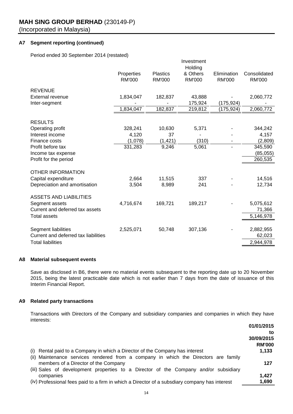## **A7 Segment reporting (continued)**

Period ended 30 September 2014 (restated)

|                                      |                             |                                  | Investment<br>Holding     |                              |                               |
|--------------------------------------|-----------------------------|----------------------------------|---------------------------|------------------------------|-------------------------------|
|                                      | Properties<br><b>RM'000</b> | <b>Plastics</b><br><b>RM'000</b> | & Others<br><b>RM'000</b> | Elimination<br><b>RM'000</b> | Consolidated<br><b>RM'000</b> |
|                                      |                             |                                  |                           |                              |                               |
| <b>REVENUE</b>                       |                             |                                  |                           |                              |                               |
| <b>External revenue</b>              | 1,834,047                   | 182,837                          | 43,888                    |                              | 2,060,772                     |
| Inter-segment                        |                             |                                  | 175,924                   | (175,924)                    |                               |
|                                      | 1,834,047                   | 182,837                          | 219,812                   | (175,924)                    | 2,060,772                     |
| <b>RESULTS</b>                       |                             |                                  |                           |                              |                               |
| Operating profit                     | 328,241                     | 10,630                           | 5,371                     |                              | 344,242                       |
| Interest income                      | 4,120                       | 37                               |                           |                              | 4,157                         |
| Finance costs                        | (1,078)                     | (1, 421)                         | (310)                     |                              | (2,809)                       |
| Profit before tax                    | 331,283                     | 9,246                            | 5,061                     |                              | 345,590                       |
| Income tax expense                   |                             |                                  |                           |                              | (85,055)                      |
| Profit for the period                |                             |                                  |                           |                              | 260,535                       |
| <b>OTHER INFORMATION</b>             |                             |                                  |                           |                              |                               |
| Capital expenditure                  | 2,664                       | 11,515                           | 337                       |                              | 14,516                        |
| Depreciation and amortisation        | 3,504                       | 8,989                            | 241                       |                              | 12,734                        |
| <b>ASSETS AND LIABILITIES</b>        |                             |                                  |                           |                              |                               |
| Segment assets                       | 4,716,674                   | 169,721                          | 189,217                   |                              | 5,075,612                     |
| Current and deferred tax assets      |                             |                                  |                           |                              | 71,366                        |
| <b>Total assets</b>                  |                             |                                  |                           |                              | 5,146,978                     |
| Segment liabilities                  | 2,525,071                   | 50,748                           | 307,136                   |                              | 2,882,955                     |
| Current and deferred tax liabilities |                             |                                  |                           |                              | 62,023                        |
| <b>Total liabilities</b>             |                             |                                  |                           |                              | 2,944,978                     |
|                                      |                             |                                  |                           |                              |                               |

#### **A8 Material subsequent events**

Save as disclosed in B6, there were no material events subsequent to the reporting date up to 20 November 2015, being the latest practicable date which is not earlier than 7 days from the date of issuance of this Interim Financial Report.

## **A9 Related party transactions**

Transactions with Directors of the Company and subsidiary companies and companies in which they have interests:

|                                                                                               | 01/01/2015    |
|-----------------------------------------------------------------------------------------------|---------------|
|                                                                                               | to            |
|                                                                                               | 30/09/2015    |
|                                                                                               | <b>RM'000</b> |
| (i) Rental paid to a Company in which a Director of the Company has interest                  | 1,133         |
| (ii) Maintenance services rendered from a company in which the Directors are family           |               |
| members of a Director of the Company                                                          | 127           |
| (iii) Sales of development properties to a Director of the Company and/or subsidiary          |               |
| companies                                                                                     | 1.427         |
| (iv) Professional fees paid to a firm in which a Director of a subsdiary company has interest | 1,690         |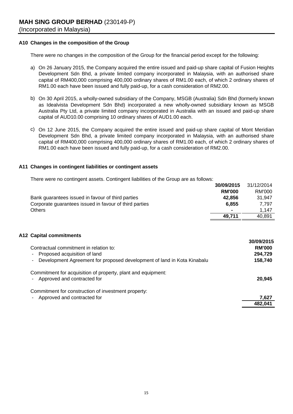## **A10 Changes in the composition of the Group**

There were no changes in the composition of the Group for the financial period except for the following:

- a) On 26 January 2015, the Company acquired the entire issued and paid-up share capital of Fusion Heights Development Sdn Bhd, a private limited company incorporated in Malaysia, with an authorised share capital of RM400,000 comprising 400,000 ordinary shares of RM1.00 each, of which 2 ordinary shares of RM1.00 each have been issued and fully paid-up, for a cash consideration of RM2.00.
- b) On 30 April 2015, a wholly-owned subsidiary of the Company, MSGB (Australia) Sdn Bhd (formerly known as Idealvista Development Sdn Bhd) incorporated a new wholly-owned subsidiary known as MSGB Australia Pty Ltd, a private limited company incorporated in Australia with an issued and paid-up share capital of AUD10.00 comprising 10 ordinary shares of AUD1.00 each.
- c) On 12 June 2015, the Company acquired the entire issued and paid-up share capital of Mont Meridian Development Sdn Bhd, a private limited company incorporated in Malaysia, with an authorised share capital of RM400,000 comprising 400,000 ordinary shares of RM1.00 each, of which 2 ordinary shares of RM1.00 each have been issued and fully paid-up, for a cash consideration of RM2.00.

## **A11 Changes in contingent liabilities or contingent assets**

There were no contingent assets. Contingent liabilities of the Group are as follows:

|                                                        | 30/09/2015               | 31/12/2014 |
|--------------------------------------------------------|--------------------------|------------|
|                                                        | <b>RM'000</b>            | RM'000     |
| Bank guarantees issued in favour of third parties      | 42.856                   | 31.947     |
| Corporate guarantees issued in favour of third parties | 6.855                    | 7.797      |
| <b>Others</b>                                          | $\overline{\phantom{a}}$ | 1.147      |
|                                                        | 49.711                   | 40.891     |

## **A12 Capital commitments**

| Contractual commitment in relation to:<br>- Proposed acquisition of land<br>- Development Agreement for proposed development of land in Kota Kinabalu | <u>งพบมเผม ม</u><br><b>RM'000</b><br>294,729<br>158,740 |
|-------------------------------------------------------------------------------------------------------------------------------------------------------|---------------------------------------------------------|
| Commitment for acquisition of property, plant and equipment:<br>Approved and contracted for                                                           | 20.945                                                  |
| Commitment for construction of investment property:<br>Approved and contracted for<br>$\sim$                                                          | 7,627                                                   |
|                                                                                                                                                       | 482,041                                                 |

**30/09/2015**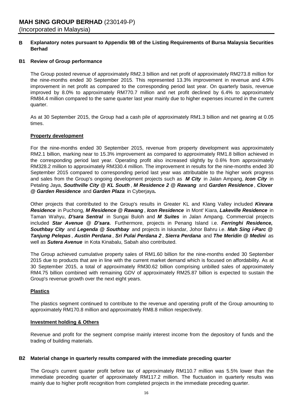#### **B Explanatory notes pursuant to Appendix 9B of the Listing Requirements of Bursa Malaysia Securities Berhad**

## **B1 Review of Group performance**

The Group posted revenue of approximately RM2.3 billion and net profit of approximately RM273.8 million for the nine-months ended 30 September 2015. This represented 13.3% improvement in revenue and 4.9% improvement in net profit as compared to the corresponding period last year. On quarterly basis, revenue improved by 8.0% to approximately RM770.7 million and net profit declined by 6.4% to approximately RM84.4 million compared to the same quarter last year mainly due to higher expenses incurred in the current quarter.

As at 30 September 2015, the Group had a cash pile of approximately RM1.3 billion and net gearing at 0.05 times.

## **Property development**

For the nine-months ended 30 September 2015, revenue from property development was approximately RM2.1 billion, marking near to 15.3% improvement as compared to approximately RM1.8 billion achieved in the corresponding period last year. Operating profit also increased slightly by 0.6% from approximately RM328.2 million to approximately RM330.4 million. The improvement in results for the nine-months ended 30 September 2015 compared to corresponding period last year was attributable to the higher work progress and sales from the Group's ongoing development projects such as *M City* in Jalan Ampang, *Icon City* in Petaling Jaya, *Southville City @ KL South* , *M Residence 2 @ Rawang* and *Garden Residence* , *Clover @ Garden Residence* and *Garden Plaza* in Cyberjaya*.* 

Other projects that contributed to the Group's results in Greater KL and Klang Valley included *Kinrara Residence* in Puchong, *M Residence @ Rawang* , *Icon Residence* in Mont' Kiara, *Lakeville Residence* in Taman Wahyu, *D'sara Sentral* in Sungai Buloh and *M Suites* in Jalan Ampang. Commercial projects included *Star Avenue @ D'sara.* Furthermore, projects in Penang Island i.e. *Ferringhi Residence, Southbay City* and *Legenda @ Southbay* and projects in Iskandar, Johor Bahru i.e. *Mah Sing i-Parc @ Tanjung Pelepas* , *Austin Perdana* , *Sri Pulai Perdana 2* , *Sierra Perdana* and *The Meridin @ Medini* as well as *Sutera Avenue* in Kota Kinabalu, Sabah also contributed.

The Group achieved cumulative property sales of RM1.60 billion for the nine-months ended 30 September 2015 due to products that are in line with the current market demand which is focused on affordability. As at 30 September 2015, a total of approximately RM30.62 billion comprising unbilled sales of approximately RM4.75 billion combined with remaining GDV of approximately RM25.87 billion is expected to sustain the Group's revenue growth over the next eight years.

## **Plastics**

The plastics segment continued to contribute to the revenue and operating profit of the Group amounting to approximately RM170.8 million and approximately RM8.8 million respectively.

## **Investment holding & Others**

Revenue and profit for the segment comprise mainly interest income from the depository of funds and the trading of building materials.

## **B2 Material change in quarterly results compared with the immediate preceding quarter**

The Group's current quarter profit before tax of approximately RM110.7 million was 5.5% lower than the immediate preceding quarter of approximately RM117.2 million. The fluctuation in quarterly results was mainly due to higher profit recognition from completed projects in the immediate preceding quarter.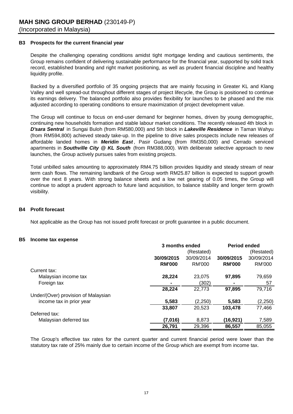## **B3 Prospects for the current financial year**

Despite the challenging operating conditions amidst tight mortgage lending and cautious sentiments, the Group remains confident of delivering sustainable performance for the financial year, supported by solid track record, established branding and right market positioning, as well as prudent financial discipline and healthy liquidity profile.

Backed by a diversified portfolio of 35 ongoing projects that are mainly focusing in Greater KL and Klang Valley and well spread-out throughout different stages of project lifecycle, the Group is positioned to continue its earnings delivery. The balanced portfolio also provides flexibility for launches to be phased and the mix adjusted according to operating conditions to ensure maximization of project development value.

The Group will continue to focus on end-user demand for beginner homes, driven by young demographic, continuing new households formation and stable labour market conditions. The recently released 4th block in *D'sara Sentral* in Sungai Buloh (from RM580,000) and 5th block in *Lakeville Residence* in Taman Wahyu (from RM594,800) achieved steady take-up. In the pipeline to drive sales prospects include new releases of affordable landed homes in **Meridin East**, Pasir Gudang (from RM350,000) and Cerrado serviced apartments in *Southville City @ KL South* (from RM388,000). With deliberate selective approach to new launches, the Group actively pursues sales from existing projects.

Total unbilled sales amounting to approximately RM4.75 billion provides liquidity and steady stream of near term cash flows. The remaining landbank of the Group worth RM25.87 billion is expected to support growth over the next 8 years. With strong balance sheets and a low net gearing of 0.05 times, the Group will continue to adopt a prudent approach to future land acquisition, to balance stability and longer term growth visibility.

## **B4 Profit forecast**

Not applicable as the Group has not issued profit forecast or profit guarantee in a public document.

#### **B5 Income tax expense**

|                                     | 3 months ended |            | <b>Period ended</b> |               |
|-------------------------------------|----------------|------------|---------------------|---------------|
|                                     |                | (Restated) |                     | (Restated)    |
|                                     | 30/09/2015     | 30/09/2014 | 30/09/2015          | 30/09/2014    |
|                                     | <b>RM'000</b>  | RM'000     | <b>RM'000</b>       | <b>RM'000</b> |
| Current tax:                        |                |            |                     |               |
| Malaysian income tax                | 28,224         | 23,075     | 97,895              | 79,659        |
| Foreign tax                         |                | (302)      | ٠                   | 57            |
|                                     | 28,224         | 22,773     | 97,895              | 79,716        |
| Under/(Over) provision of Malaysian |                |            |                     |               |
| income tax in prior year            | 5,583          | (2,250)    | 5,583               | (2,250)       |
|                                     | 33,807         | 20,523     | 103,478             | 77,466        |
| Deferred tax:                       |                |            |                     |               |
| Malaysian deferred tax              | (7,016)        | 8,873      | (16,921)            | 7,589         |
|                                     | 26,791         | 29,396     | 86,557              | 85,055        |

The Group's effective tax rates for the current quarter and current financial period were lower than the statutory tax rate of 25% mainly due to certain income of the Group which are exempt from income tax.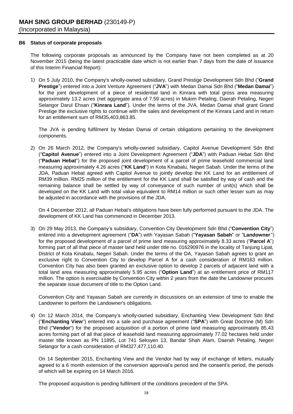### **B6 Status of corporate proposals**

The following corporate proposals as announced by the Company have not been completed as at 20 November 2015 (being the latest practicable date which is not earlier than 7 days from the date of issuance of this Interim Financial Report):

1) On 5 July 2010, the Company's wholly-owned subsidiary, Grand Prestige Development Sdn Bhd ("**Grand Prestige**") entered into a Joint Venture Agreement ("**JVA**") with Medan Damai Sdn Bhd ("**Medan Damai**") for the joint development of a piece of residential land in Kinrara with total gross area measuring approximately 13.2 acres (net aggregate area of 7.59 acres) in Mukim Petaling, Daerah Petaling, Negeri Selangor Darul Ehsan ("**Kinrara Land**"). Under the terms of the JVA, Medan Damai shall grant Grand Prestige the exclusive rights to continue with the sales and development of the Kinrara Land and in return for an entitlement sum of RM35,403,863.85.

The JVA is pending fulfilment by Medan Damai of certain obligations pertaining to the development components.

2) On 26 March 2012, the Company's wholly-owned subsidiary, Capitol Avenue Development Sdn Bhd ("**Capitol Avenue**") entered into a Joint Development Agreement ("**JDA**") with Paduan Hebat Sdn Bhd ("**Paduan Hebat**") for the proposed joint development of a parcel of prime leasehold commercial land measuring approximately 4.26 acres ("**KK Land**") in Kota Kinabalu, Negeri Sabah. Under the terms of the JDA, Paduan Hebat agreed with Capitol Avenue to jointly develop the KK Land for an entitlement of RM39 million. RM25 million of the entitlement for the KK Land shall be satisfied by way of cash and the remaining balance shall be settled by way of conveyance of such number of unit(s) which shall be developed on the KK Land with total value equivalent to RM14 million or such other lesser sum as may be adjusted in accordance with the provisions of the JDA.

On 4 December 2012, all Paduan Hebat's obligations have been fully performed pursuant to the JDA. The development of KK Land has commenced in December 2013.

3) On 29 May 2013, the Company's subsidiary, Convention City Development Sdn Bhd ("**Convention City**") entered into a development agreement ("**DA**") with Yayasan Sabah ("**Yayasan Sabah**" or "**Landowner**") for the proposed development of a parcel of prime land measuring approximately 8.33 acres ("**Parcel A**") forming part of all that piece of master land held under title no. 016290976 in the locality of Tanjung Lipat, District of Kota Kinabalu, Negeri Sabah. Under the terms of the DA, Yayasan Sabah agrees to grant an exclusive right to Convention City to develop Parcel A for a cash consideration of RM163 million. Convention City has also been granted an exclusive option to develop 2 parcels of adjacent land with a total land area measuring approximately 5.95 acres ("**Option Land**") at an entitlement price of RM117 million. The option is exercisable by Convention City within 2 years from the date the Landowner procures the separate issue document of title to the Option Land.

Convention City and Yayasan Sabah are currently in discussions on an extension of time to enable the Landowner to perform the Landowner's obligations.

4) On 12 March 2014, the Company's wholly-owned subsidiary, Enchanting View Development Sdn Bhd ("**Enchanting View**") entered into a sale and purchase agreement ("**SPA**") with Great Doctrine (M) Sdn Bhd ("**Vendor**") for the proposed acquisition of a portion of prime land measuring approximately 85.43 acres forming part of all that piece of leasehold land measuring approximately 77.02 hectares held under master title known as PN 11895, Lot 741 Seksyen 13, Bandar Shah Alam, Daerah Petaling, Negeri Selangor for a cash consideration of RM327,477,110.40.

On 14 September 2015, Enchanting View and the Vendor had by way of exchange of letters, mutually agreed to a 6 month extension of the conversion approval's period and the consent's period, the periods of which will be expiring on 14 March 2016.

The proposed acquisition is pending fulfilment of the conditions precedent of the SPA.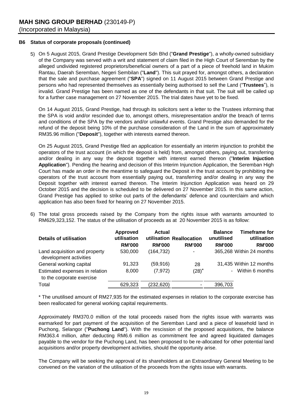## **B6 Status of corporate proposals (continued)**

5) On 5 August 2015, Grand Prestige Development Sdn Bhd ("**Grand Prestige**"), a wholly-owned subsidiary of the Company was served with a writ and statement of claim filed in the High Court of Seremban by the alleged undivided registered proprietors/beneficial owners of a part of a piece of freehold land in Mukim Rantau, Daerah Seremban, Negeri Sembilan ("**Land**"). This suit prayed for, amongst others, a declaration that the sale and purchase agreement ("**SPA**") signed on 11 August 2015 between Grand Prestige and persons who had represented themselves as essentially being authorised to sell the Land ("**Trustees**"), is invalid. Grand Prestige has been named as one of the defendants in that suit. The suit will be called up for a further case management on 27 November 2015. The trial dates have yet to be fixed.

On 14 August 2015, Grand Prestige, had through its solicitors sent a letter to the Trustees informing that the SPA is void and/or rescinded due to, amongst others, misrepresentation and/or the breach of terms and conditions of the SPA by the vendors and/or unlawful events. Grand Prestige also demanded for the refund of the deposit being 10% of the purchase consideration of the Land in the sum of approximately RM35.96 million ("**Deposit**"), together with interests earned thereon.

On 25 August 2015, Grand Prestige filed an application for essentially an interim injunction to prohibit the operators of the trust account (in which the deposit is held) from, amongst others, paying out, transferring and/or dealing in any way the deposit together with interest earned thereon ("**Interim Injuction Application**"). Pending the hearing and decision of this Interim Injunction Application, the Seremban High Court has made an order in the meantime to safeguard the Deposit in the trust account by prohibiting the operators of the trust account from essentially paying out, transferring and/or dealing in any way the Deposit together with interest earned thereon. The Interim Injunction Application was heard on 29 October 2015 and the decision is scheduled to be delivered on 27 November 2015. In this same action, Grand Prestige has applied to strike out parts of the defendants' defence and counterclaim and which application has also been fixed for hearing on 27 November 2015.

6) The total gross proceeds raised by the Company from the rights issue with warrants amounted to RM629,323,152. The status of the utilisation of proceeds as at 20 November 2015 is as follow:

| Details of utilisation                                    | <b>Approved</b><br>utilisation<br><b>RM'000</b> | Actual<br><b>RM'000</b> | utilisation Reallocation<br><b>RM'000</b> | <b>Balance</b><br>unutilised<br><b>RM'000</b> | <b>Timeframe for</b><br>utilisation<br><b>RM'000</b> |
|-----------------------------------------------------------|-------------------------------------------------|-------------------------|-------------------------------------------|-----------------------------------------------|------------------------------------------------------|
| Land acquisition and property<br>development activities   | 530,000                                         | (164, 732)              | ٠                                         |                                               | 365,268 Within 24 months                             |
| General working capital<br>Estimated expenses in relation | 91,323<br>8,000                                 | (59, 916)<br>(7, 972)   | 28<br>$(28)^{*}$                          |                                               | 31,435 Within 12 months<br>- Within 6 months         |
| to the corporate exercise<br>Total                        | 629,323                                         | (232, 620)              |                                           | 396,703                                       |                                                      |

\* The unutilised amount of RM27,935 for the estimated expenses in relation to the corporate exercise has been reallocated for general working capital requirements.

Approximately RM370.0 million of the total proceeds raised from the rights issue with warrants was earmarked for part payment of the acquisition of the Seremban Land and a piece of leasehold land in Puchong, Selangor ("**Puchong Land**"). With the rescission of the proposed acquisitions, the balance RM363.4 million, after deducting RM6.6 million as commitment fee and agreed liquidated damages payable to the vendor for the Puchong Land, has been proposed to be re-allocated for other potential land acquisitions and/or property development activities, should the opportunity arise.

The Company will be seeking the approval of its shareholders at an Extraordinary General Meeting to be convened on the variation of the utilisation of the proceeds from the rights issue with warrants.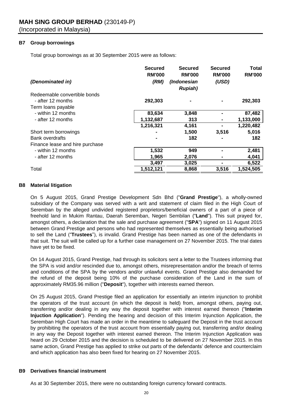## **B7 Group borrowings**

Total group borrowings as at 30 September 2015 were as follows:

| (Denominated in)                | <b>Secured</b><br><b>RM'000</b><br>(RM) | <b>Secured</b><br><b>RM'000</b><br>(Indonesian<br><b>Rupiah</b> ) | <b>Secured</b><br><b>RM'000</b><br>(USD) | <b>Total</b><br><b>RM'000</b> |
|---------------------------------|-----------------------------------------|-------------------------------------------------------------------|------------------------------------------|-------------------------------|
| Redeemable convertible bonds    |                                         |                                                                   |                                          |                               |
| - after 12 months               | 292,303                                 |                                                                   |                                          | 292,303                       |
| Term loans payable              |                                         |                                                                   |                                          |                               |
| - within 12 months              | 83,634                                  | 3,848                                                             |                                          | 87,482                        |
| - after 12 months               | 1,132,687                               | 313                                                               |                                          | 1,133,000                     |
|                                 | 1,216,321                               | 4,161                                                             |                                          | 1,220,482                     |
| Short term borrowings           |                                         | 1,500                                                             | 3,516                                    | 5,016                         |
| <b>Bank overdrafts</b>          | ۰                                       | 182                                                               |                                          | 182                           |
| Finance lease and hire purchase |                                         |                                                                   |                                          |                               |
| - within 12 months              | 1,532                                   | 949                                                               |                                          | 2,481                         |
| - after 12 months               | 1,965                                   | 2,076                                                             |                                          | 4,041                         |
|                                 | 3,497                                   | 3,025                                                             |                                          | 6,522                         |
| Total                           | 1,512,121                               | 8,868                                                             | 3,516                                    | 1,524,505                     |

## **B8 Material litigation**

On 5 August 2015, Grand Prestige Development Sdn Bhd ("**Grand Prestige**"), a wholly-owned subsidiary of the Company was served with a writ and statement of claim filed in the High Court of Seremban by the alleged undivided registered proprietors/beneficial owners of a part of a piece of freehold land in Mukim Rantau, Daerah Seremban, Negeri Sembilan ("**Land**"). This suit prayed for, amongst others, a declaration that the sale and purchase agreement ("**SPA**") signed on 11 August 2015 between Grand Prestige and persons who had represented themselves as essentially being authorised to sell the Land ("**Trustees**"), is invalid. Grand Prestige has been named as one of the defendants in that suit. The suit will be called up for a further case management on 27 November 2015. The trial dates have yet to be fixed.

On 14 August 2015, Grand Prestige, had through its solicitors sent a letter to the Trustees informing that the SPA is void and/or rescinded due to, amongst others, misrepresentation and/or the breach of terms and conditions of the SPA by the vendors and/or unlawful events. Grand Prestige also demanded for the refund of the deposit being 10% of the purchase consideration of the Land in the sum of approximately RM35.96 million ("**Deposit**"), together with interests earned thereon.

On 25 August 2015, Grand Prestige filed an application for essentially an interim injunction to prohibit the operators of the trust account (in which the deposit is held) from, amongst others, paying out, transferring and/or dealing in any way the deposit together with interest earned thereon ("**Interim Injuction Application**"). Pending the hearing and decision of this Interim Injunction Application, the Seremban High Court has made an order in the meantime to safeguard the Deposit in the trust account by prohibiting the operators of the trust account from essentially paying out, transferring and/or dealing in any way the Deposit together with interest earned thereon. The Interim Injunction Application was heard on 29 October 2015 and the decision is scheduled to be delivered on 27 November 2015. In this same action, Grand Prestige has applied to strike out parts of the defendants' defence and counterclaim and which application has also been fixed for hearing on 27 November 2015.

## **B9 Derivatives financial instrument**

As at 30 September 2015, there were no outstanding foreign currency forward contracts.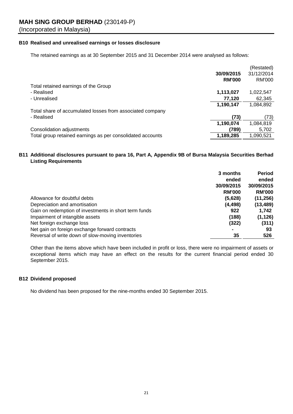## **B10 Realised and unrealised earnings or losses disclosure**

The retained earnings as at 30 September 2015 and 31 December 2014 were analysed as follows:

| 31/12/2014<br>30/09/2015<br><b>RM'000</b><br><b>RM'000</b><br>Total retained earnings of the Group<br>- Realised<br>1,113,027<br>1,022,547<br>- Unrealised<br>77,120<br>62,345<br>1,190,147<br>1,084,892<br>Total share of accumulated losses from associated company<br>- Realised<br>(73)<br>(73)<br>1,190,074<br>1,084,819<br>Consolidation adjustments<br>(789)<br>5,702<br>Total group retained earnings as per consolidated accounts<br>1,189,285<br>1,090,521 |  | (Restated) |
|----------------------------------------------------------------------------------------------------------------------------------------------------------------------------------------------------------------------------------------------------------------------------------------------------------------------------------------------------------------------------------------------------------------------------------------------------------------------|--|------------|
|                                                                                                                                                                                                                                                                                                                                                                                                                                                                      |  |            |
|                                                                                                                                                                                                                                                                                                                                                                                                                                                                      |  |            |
|                                                                                                                                                                                                                                                                                                                                                                                                                                                                      |  |            |
|                                                                                                                                                                                                                                                                                                                                                                                                                                                                      |  |            |
|                                                                                                                                                                                                                                                                                                                                                                                                                                                                      |  |            |
|                                                                                                                                                                                                                                                                                                                                                                                                                                                                      |  |            |
|                                                                                                                                                                                                                                                                                                                                                                                                                                                                      |  |            |
|                                                                                                                                                                                                                                                                                                                                                                                                                                                                      |  |            |
|                                                                                                                                                                                                                                                                                                                                                                                                                                                                      |  |            |
|                                                                                                                                                                                                                                                                                                                                                                                                                                                                      |  |            |
|                                                                                                                                                                                                                                                                                                                                                                                                                                                                      |  |            |

## **B11 Additional disclosures pursuant to para 16, Part A, Appendix 9B of Bursa Malaysia Securities Berhad Listing Requirements**

|                                                       | 3 months      | <b>Period</b> |
|-------------------------------------------------------|---------------|---------------|
|                                                       | ended         | ended         |
|                                                       | 30/09/2015    | 30/09/2015    |
|                                                       | <b>RM'000</b> | <b>RM'000</b> |
| Allowance for doubtful debts                          | (5,628)       | (11, 256)     |
| Depreciation and amortisation                         | (4, 498)      | (13, 489)     |
| Gain on redemption of investments in short term funds | 922           | 1,742         |
| Impairment of intangible assets                       | (188)         | (1, 126)      |
| Net foreign exchange loss                             | (322)         | (311)         |
| Net gain on foreign exchange forward contracts        |               | 93            |
| Reversal of write down of slow-moving inventories     | 35            | 526           |

Other than the items above which have been included in profit or loss, there were no impairment of assets or exceptional items which may have an effect on the results for the current financial period ended 30 September 2015.

## **B12 Dividend proposed**

No dividend has been proposed for the nine-months ended 30 September 2015.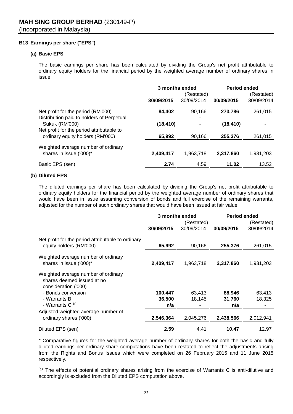## **B13 Earnings per share ("EPS")**

## **(a) Basic EPS**

The basic earnings per share has been calculated by dividing the Group's net profit attributable to ordinary equity holders for the financial period by the weighted average number of ordinary shares in issue.

|                                                                                 | 3 months ended |                          | <b>Period ended</b> |                          |
|---------------------------------------------------------------------------------|----------------|--------------------------|---------------------|--------------------------|
|                                                                                 | 30/09/2015     | (Restated)<br>30/09/2014 | 30/09/2015          | (Restated)<br>30/09/2014 |
| Net profit for the period (RM'000)<br>Distribution paid to holders of Perpetual | 84,402         | 90.166                   | 273,786             | 261,015                  |
| <b>Sukuk (RM'000)</b>                                                           | (18, 410)      |                          | (18,410)            |                          |
| Net profit for the period attributable to<br>ordinary equity holders (RM'000)   | 65,992         | 90.166                   | 255,376             | 261,015                  |
| Weighted average number of ordinary<br>shares in issue ('000)*                  | 2,409,417      | 1,963,718                | 2,317,860           | 1,931,203                |
| Basic EPS (sen)                                                                 | 2.74           | 4.59                     | 11.02               | 13.52                    |

## **(b) Diluted EPS**

The diluted earnings per share has been calculated by dividing the Group's net profit attributable to ordinary equity holders for the financial period by the weighted average number of ordinary shares that would have been in issue assuming conversion of bonds and full exercise of the remaining warrants, adjusted for the number of such ordinary shares that would have been issued at fair value.

|                                                                                           | 3 months ended |            | <b>Period ended</b> |            |  |
|-------------------------------------------------------------------------------------------|----------------|------------|---------------------|------------|--|
|                                                                                           |                | (Restated) |                     | (Restated) |  |
|                                                                                           | 30/09/2015     | 30/09/2014 | 30/09/2015          | 30/09/2014 |  |
| Net profit for the period attributable to ordinary<br>equity holders (RM'000)             | 65,992         | 90,166     | 255,376             | 261,015    |  |
|                                                                                           |                |            |                     |            |  |
| Weighted average number of ordinary<br>shares in issue ('000)*                            | 2,409,417      | 1,963,718  | 2,317,860           | 1,931,203  |  |
| Weighted average number of ordinary<br>shares deemed issued at no<br>consideration ('000) |                |            |                     |            |  |
| - Bonds conversion                                                                        | 100,447        | 63,413     | 88,946              | 63,413     |  |
| - Warrants B                                                                              | 36,500         | 18,145     | 31,760              | 18,325     |  |
| - Warrants C <sup>(1)</sup>                                                               | n/a            |            | n/a                 |            |  |
| Adjusted weighted average number of<br>ordinary shares ('000)                             | 2,546,364      | 2,045,276  | 2,438,566           | 2,012,941  |  |
| Diluted EPS (sen)                                                                         | 2.59           | 4.41       | 10.47               | 12.97      |  |

\* Comparative figures for the weighted average number of ordinary shares for both the basic and fully diluted earnings per ordinary share computations have been restated to reflect the adjustments arising from the Rights and Bonus Issues which were completed on 26 February 2015 and 11 June 2015 respectively.

(1) The effects of potential ordinary shares arising from the exercise of Warrants C is anti-dilutive and accordingly is excluded from the Diluted EPS computation above.